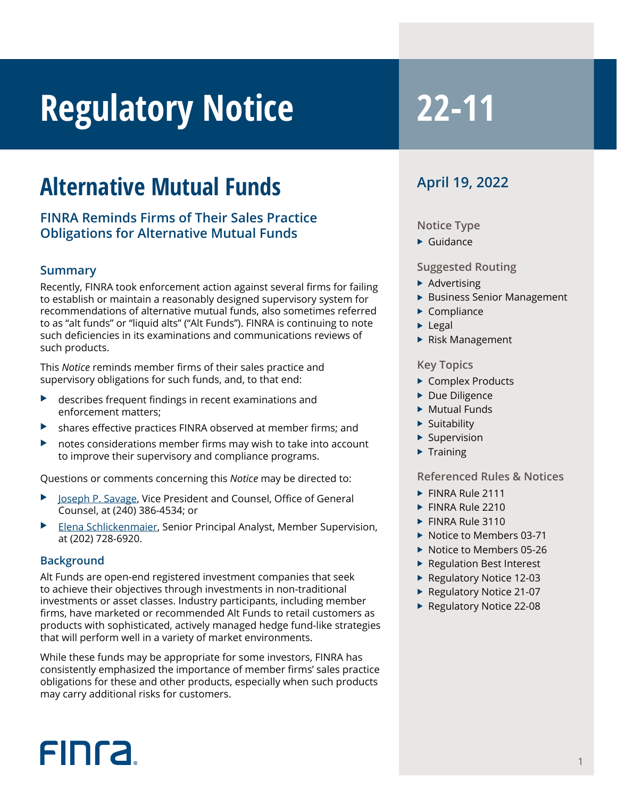# **Regulatory Notice** 22-11

## **Alternative Mutual Funds**

#### **FINRA Reminds Firms of Their Sales Practice Obligations for Alternative Mutual Funds**

#### **Summary**

Recently, FINRA took enforcement action against several firms for failing to establish or maintain a reasonably designed supervisory system for recommendations of alternative mutual funds, also sometimes referred to as "alt funds" or "liquid alts" ("Alt Funds"). FINRA is continuing to note such deficiencies in its examinations and communications reviews of such products.

This *Notice* reminds member firms of their sales practice and supervisory obligations for such funds, and, to that end:

- describes frequent findings in recent examinations and enforcement matters;
- shares effective practices FINRA observed at member firms; and
- notes considerations member firms may wish to take into account to improve their supervisory and compliance programs.

Questions or comments concerning this *Notice* may be directed to:

- [Joseph P. Savage,](mailto:joe.savage@finra.org) Vice President and Counsel, Office of General Counsel, at (240) 386-4534; or
- [Elena Schlickenmaier](mailto:elena.schlickenmaier@finra.og), Senior Principal Analyst, Member Supervision, at (202) 728-6920.

#### **Background**

Alt Funds are open-end registered investment companies that seek to achieve their objectives through investments in non-traditional investments or asset classes. Industry participants, including member firms, have marketed or recommended Alt Funds to retail customers as products with sophisticated, actively managed hedge fund-like strategies that will perform well in a variety of market environments.

While these funds may be appropriate for some investors, FINRA has consistently emphasized the importance of member firms' sales practice obligations for these and other products, especially when such products may carry additional risks for customers.

### **April 19, 2022**

#### **Notice Type**

 $\blacktriangleright$  Guidance

**Suggested Routing**

- $\blacktriangleright$  Advertising
- ▶ Business Senior Management
- $\blacktriangleright$  Compliance
- $\blacktriangleright$  Legal
- $\blacktriangleright$  Risk Management

#### **Key Topics**

- ▶ Complex Products
- $\blacktriangleright$  Due Diligence
- $\blacktriangleright$  Mutual Funds
- $\blacktriangleright$  Suitability
- $\blacktriangleright$  Supervision
- $\blacktriangleright$  Training

#### **Referenced Rules & Notices**

- $\blacktriangleright$  FINRA Rule 2111
- $\blacktriangleright$  FINRA Rule 2210
- $\triangleright$  FINRA Rule 3110
- $\triangleright$  Notice to Members 03-71
- $\blacktriangleright$  Notice to Members 05-26
- $\blacktriangleright$  Regulation Best Interest
- $\blacktriangleright$  Regulatory Notice 12-03
- $\blacktriangleright$  Regulatory Notice 21-07
- ▶ Regulatory Notice 22-08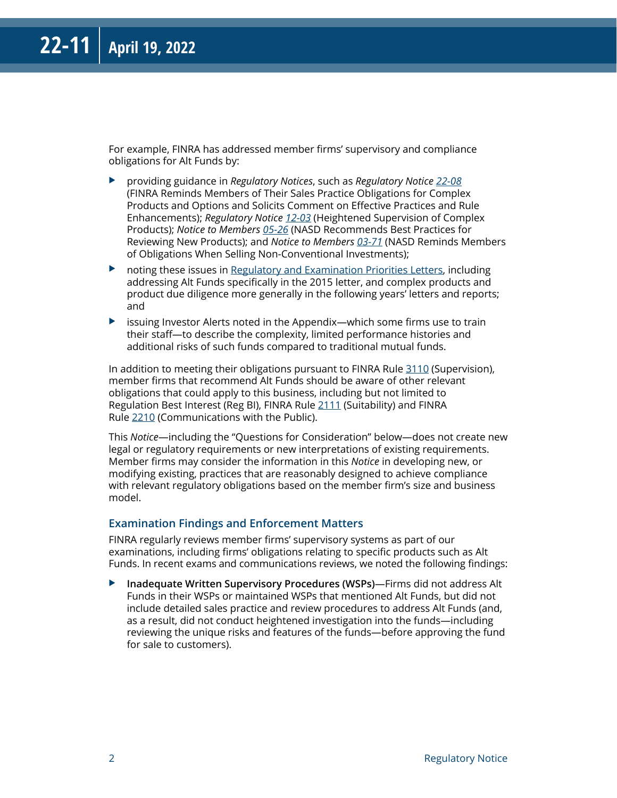For example, FINRA has addressed member firms' supervisory and compliance obligations for Alt Funds by:

- X providing guidance in *Regulatory Notices*, such as *Regulatory Notice [22-08](https://www.finra.org/rules-guidance/notices/22-08)* (FINRA Reminds Members of Their Sales Practice Obligations for Complex Products and Options and Solicits Comment on Effective Practices and Rule Enhancements); *Regulatory Notice [12-03](https://www.finra.org/rules-guidance/notices/12-03)* (Heightened Supervision of Complex Products); *Notice to Members [05-26](https://www.finra.org/rules-guidance/notices/05-26)* (NASD Recommends Best Practices for Reviewing New Products); and *Notice to Members [03-71](https://www.finra.org/rules-guidance/notices/03-71)* (NASD Reminds Members of Obligations When Selling Non-Conventional Investments);
- $\triangleright$  noting these issues in [Regulatory and Examination Priorities Letters,](https://www.finra.org/rules-guidance/guidance/exam-priority-letters) including addressing Alt Funds specifically in the 2015 letter, and complex products and product due diligence more generally in the following years' letters and reports; and
- $\blacktriangleright$  issuing Investor Alerts noted in the Appendix—which some firms use to train their staff—to describe the complexity, limited performance histories and additional risks of such funds compared to traditional mutual funds.

In addition to meeting their obligations pursuant to FINRA Rule [3110](https://www.finra.org/rules-guidance/rulebooks/finra-rules/3110) (Supervision), member firms that recommend Alt Funds should be aware of other relevant obligations that could apply to this business, including but not limited to Regulation Best Interest (Reg BI), FINRA Rule [2111](https://www.finra.org/rules-guidance/rulebooks/finra-rules/2111) (Suitability) and FINRA Rule [2210](https://www.finra.org/finramanual/rules/r2210) (Communications with the Public).

This *Notice*—including the "Questions for Consideration" below—does not create new legal or regulatory requirements or new interpretations of existing requirements. Member firms may consider the information in this *Notice* in developing new, or modifying existing, practices that are reasonably designed to achieve compliance with relevant regulatory obligations based on the member firm's size and business model.

#### **Examination Findings and Enforcement Matters**

FINRA regularly reviews member firms' supervisory systems as part of our examinations, including firms' obligations relating to specific products such as Alt Funds. In recent exams and communications reviews, we noted the following findings:

X **Inadequate Written Supervisory Procedures (WSPs)**—Firms did not address Alt Funds in their WSPs or maintained WSPs that mentioned Alt Funds, but did not include detailed sales practice and review procedures to address Alt Funds (and, as a result, did not conduct heightened investigation into the funds—including reviewing the unique risks and features of the funds—before approving the fund for sale to customers).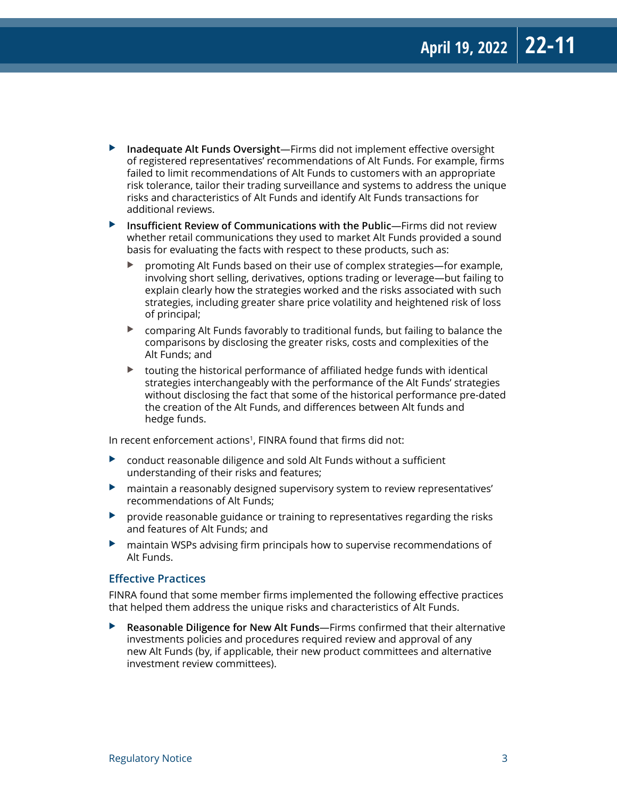- ▶ Inadequate Alt Funds Oversight—Firms did not implement effective oversight of registered representatives' recommendations of Alt Funds. For example, firms failed to limit recommendations of Alt Funds to customers with an appropriate risk tolerance, tailor their trading surveillance and systems to address the unique risks and characteristics of Alt Funds and identify Alt Funds transactions for additional reviews.
- ▶ Insufficient Review of Communications with the Public—Firms did not review whether retail communications they used to market Alt Funds provided a sound basis for evaluating the facts with respect to these products, such as:
	- promoting Alt Funds based on their use of complex strategies—for example, involving short selling, derivatives, options trading or leverage—but failing to explain clearly how the strategies worked and the risks associated with such strategies, including greater share price volatility and heightened risk of loss of principal;
	- $\triangleright$  comparing Alt Funds favorably to traditional funds, but failing to balance the comparisons by disclosing the greater risks, costs and complexities of the Alt Funds; and
	- touting the historical performance of affiliated hedge funds with identical strategies interchangeably with the performance of the Alt Funds' strategies without disclosing the fact that some of the historical performance pre-dated the creation of the Alt Funds, and differences between Alt funds and hedge funds.

In recent enforcement actions<sup>1</sup>, FINRA found that firms did not:

- $\triangleright$  conduct reasonable diligence and sold Alt Funds without a sufficient understanding of their risks and features;
- $\blacktriangleright$  maintain a reasonably designed supervisory system to review representatives' recommendations of Alt Funds;
- $\triangleright$  provide reasonable guidance or training to representatives regarding the risks and features of Alt Funds; and
- $\blacktriangleright$  maintain WSPs advising firm principals how to supervise recommendations of Alt Funds.

#### **Effective Practices**

FINRA found that some member firms implemented the following effective practices that helped them address the unique risks and characteristics of Alt Funds.

▶ **Reasonable Diligence for New Alt Funds**—Firms confirmed that their alternative investments policies and procedures required review and approval of any new Alt Funds (by, if applicable, their new product committees and alternative investment review committees).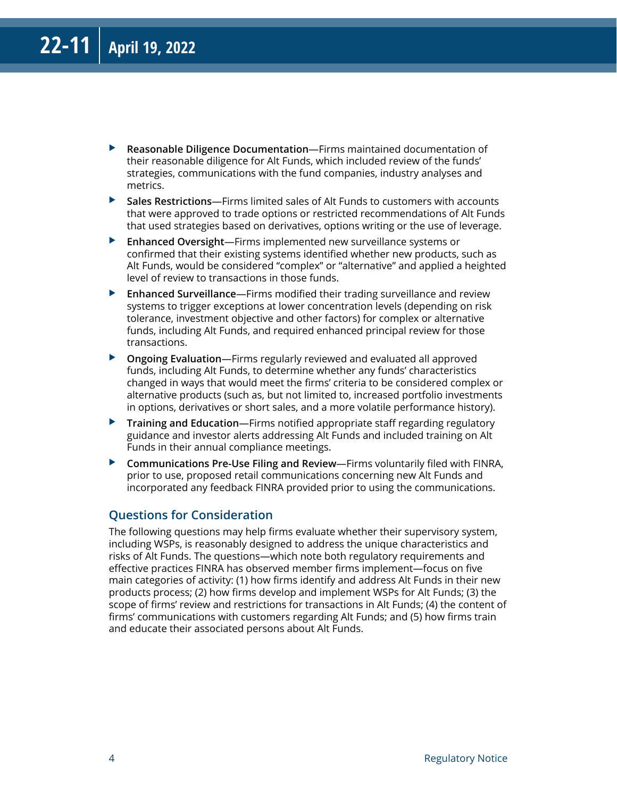- ▶ **Reasonable Diligence Documentation**—Firms maintained documentation of their reasonable diligence for Alt Funds, which included review of the funds' strategies, communications with the fund companies, industry analyses and metrics.
- ▶ Sales Restrictions—Firms limited sales of Alt Funds to customers with accounts that were approved to trade options or restricted recommendations of Alt Funds that used strategies based on derivatives, options writing or the use of leverage.
- X **Enhanced Oversight**—Firms implemented new surveillance systems or confirmed that their existing systems identified whether new products, such as Alt Funds, would be considered "complex" or "alternative" and applied a heighted level of review to transactions in those funds.
- **Enhanced Surveillance**—Firms modified their trading surveillance and review systems to trigger exceptions at lower concentration levels (depending on risk tolerance, investment objective and other factors) for complex or alternative funds, including Alt Funds, and required enhanced principal review for those transactions.
- ▶ Ongoing Evaluation—Firms regularly reviewed and evaluated all approved funds, including Alt Funds, to determine whether any funds' characteristics changed in ways that would meet the firms' criteria to be considered complex or alternative products (such as, but not limited to, increased portfolio investments in options, derivatives or short sales, and a more volatile performance history).
- **Training and Education**—Firms notified appropriate staff regarding regulatory guidance and investor alerts addressing Alt Funds and included training on Alt Funds in their annual compliance meetings.
- ▶ **Communications Pre-Use Filing and Review**—Firms voluntarily filed with FINRA, prior to use, proposed retail communications concerning new Alt Funds and incorporated any feedback FINRA provided prior to using the communications.

#### **Questions for Consideration**

The following questions may help firms evaluate whether their supervisory system, including WSPs, is reasonably designed to address the unique characteristics and risks of Alt Funds. The questions—which note both regulatory requirements and effective practices FINRA has observed member firms implement—focus on five main categories of activity: (1) how firms identify and address Alt Funds in their new products process; (2) how firms develop and implement WSPs for Alt Funds; (3) the scope of firms' review and restrictions for transactions in Alt Funds; (4) the content of firms' communications with customers regarding Alt Funds; and (5) how firms train and educate their associated persons about Alt Funds.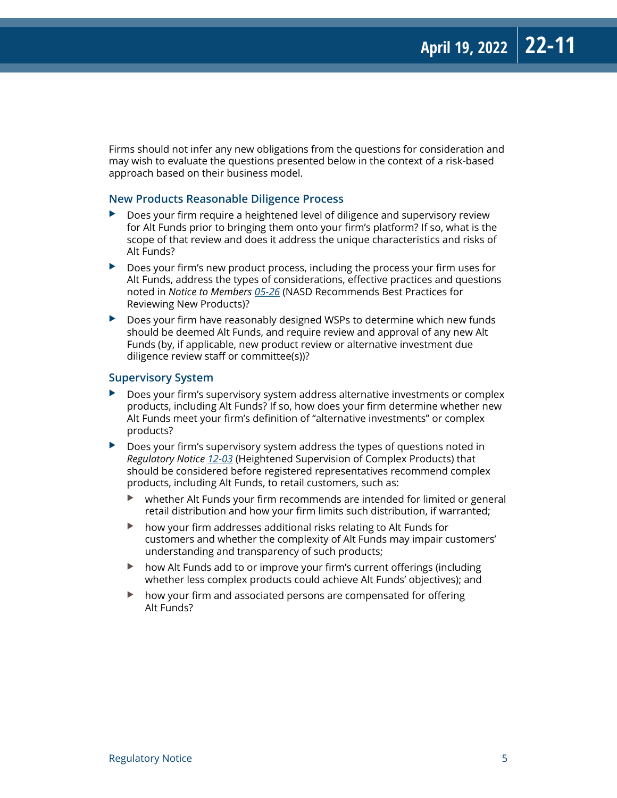Firms should not infer any new obligations from the questions for consideration and may wish to evaluate the questions presented below in the context of a risk-based approach based on their business model.

#### **New Products Reasonable Diligence Process**

- $\triangleright$  Does your firm require a heightened level of diligence and supervisory review for Alt Funds prior to bringing them onto your firm's platform? If so, what is the scope of that review and does it address the unique characteristics and risks of Alt Funds?
- $\triangleright$  Does your firm's new product process, including the process your firm uses for Alt Funds, address the types of considerations, effective practices and questions noted in *Notice to Members [05-26](https://www.finra.org/rules-guidance/notices/05-26)* (NASD Recommends Best Practices for Reviewing New Products)?
- $\triangleright$  Does your firm have reasonably designed WSPs to determine which new funds should be deemed Alt Funds, and require review and approval of any new Alt Funds (by, if applicable, new product review or alternative investment due diligence review staff or committee(s))?

#### **Supervisory System**

- Does your firm's supervisory system address alternative investments or complex products, including Alt Funds? If so, how does your firm determine whether new Alt Funds meet your firm's definition of "alternative investments" or complex products?
- Does your firm's supervisory system address the types of questions noted in *Regulatory Notice [12-03](https://www.finra.org/rules-guidance/notices/12-03)* (Heightened Supervision of Complex Products) that should be considered before registered representatives recommend complex products, including Alt Funds, to retail customers, such as:
	- $\blacktriangleright$  whether Alt Funds your firm recommends are intended for limited or general retail distribution and how your firm limits such distribution, if warranted;
	- $\blacktriangleright$  how your firm addresses additional risks relating to Alt Funds for customers and whether the complexity of Alt Funds may impair customers' understanding and transparency of such products;
	- $\triangleright$  how Alt Funds add to or improve your firm's current offerings (including whether less complex products could achieve Alt Funds' objectives); and
	- $\blacktriangleright$  how your firm and associated persons are compensated for offering Alt Funds?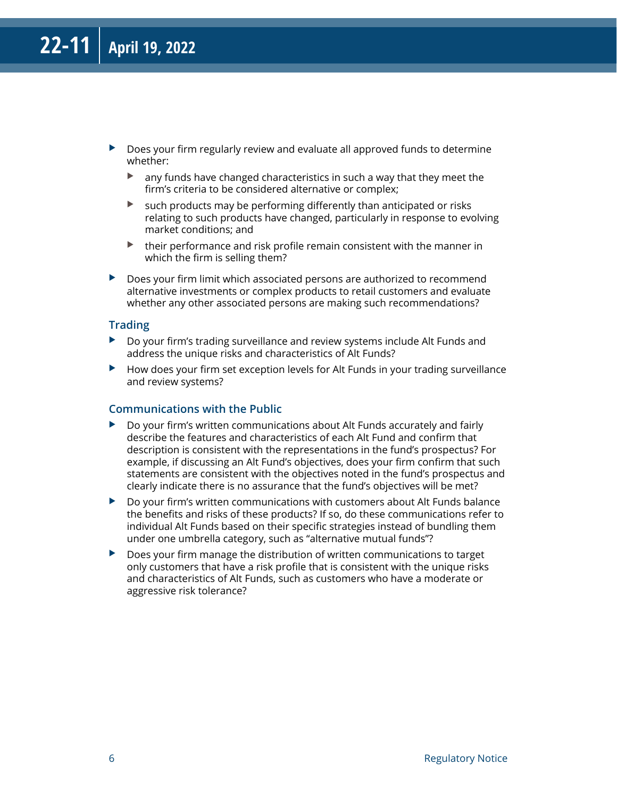- $\triangleright$  Does your firm regularly review and evaluate all approved funds to determine whether:
	- $\blacktriangleright$  any funds have changed characteristics in such a way that they meet the firm's criteria to be considered alternative or complex;
	- $\triangleright$  such products may be performing differently than anticipated or risks relating to such products have changed, particularly in response to evolving market conditions; and
	- $\blacktriangleright$  their performance and risk profile remain consistent with the manner in which the firm is selling them?
- $\triangleright$  Does your firm limit which associated persons are authorized to recommend alternative investments or complex products to retail customers and evaluate whether any other associated persons are making such recommendations?

#### **Trading**

- $\triangleright$  Do your firm's trading surveillance and review systems include Alt Funds and address the unique risks and characteristics of Alt Funds?
- $\blacktriangleright$  How does your firm set exception levels for Alt Funds in your trading surveillance and review systems?

#### **Communications with the Public**

- $\triangleright$  Do your firm's written communications about Alt Funds accurately and fairly describe the features and characteristics of each Alt Fund and confirm that description is consistent with the representations in the fund's prospectus? For example, if discussing an Alt Fund's objectives, does your firm confirm that such statements are consistent with the objectives noted in the fund's prospectus and clearly indicate there is no assurance that the fund's objectives will be met?
- $\triangleright$  Do your firm's written communications with customers about Alt Funds balance the benefits and risks of these products? If so, do these communications refer to individual Alt Funds based on their specific strategies instead of bundling them under one umbrella category, such as "alternative mutual funds"?
- $\blacktriangleright$  Does your firm manage the distribution of written communications to target only customers that have a risk profile that is consistent with the unique risks and characteristics of Alt Funds, such as customers who have a moderate or aggressive risk tolerance?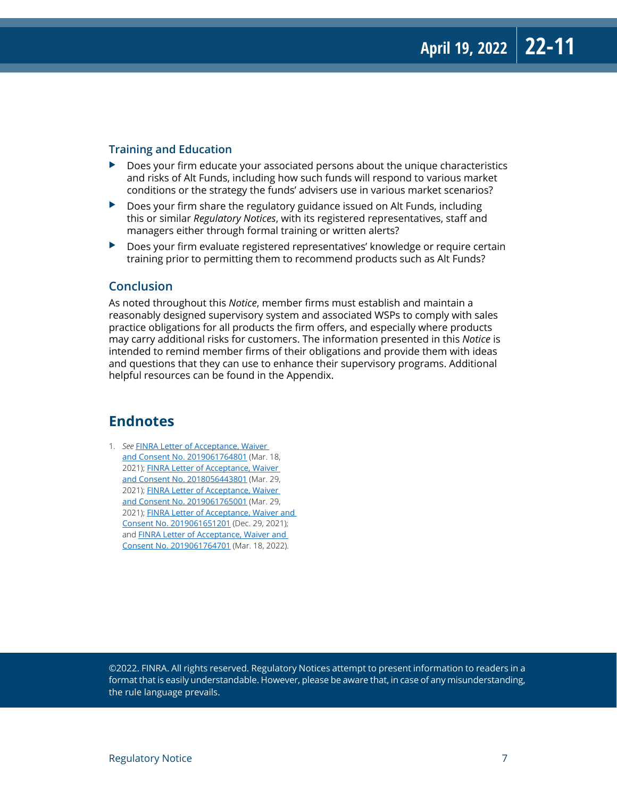#### **Training and Education**

- $\triangleright$  Does your firm educate your associated persons about the unique characteristics and risks of Alt Funds, including how such funds will respond to various market conditions or the strategy the funds' advisers use in various market scenarios?
- $\triangleright$  Does your firm share the regulatory guidance issued on Alt Funds, including this or similar *Regulatory Notices*, with its registered representatives, staff and managers either through formal training or written alerts?
- $\triangleright$  Does your firm evaluate registered representatives' knowledge or require certain training prior to permitting them to recommend products such as Alt Funds?

#### **Conclusion**

As noted throughout this *Notice*, member firms must establish and maintain a reasonably designed supervisory system and associated WSPs to comply with sales practice obligations for all products the firm offers, and especially where products may carry additional risks for customers. The information presented in this *Notice* is intended to remind member firms of their obligations and provide them with ideas and questions that they can use to enhance their supervisory programs. Additional helpful resources can be found in the Appendix.

#### **Endnotes**

1. *See* [FINRA Letter of Acceptance, Waiver](https://www.finra.org/sites/default/files/fda_documents/2019061764801%20J.W.%20Cole%20Financial%2C%20Inc.%20CRD%20124583%20AWC%20jlg%20%282021-1619655599746%29.pdf)  [and Consent No. 2019061764801](https://www.finra.org/sites/default/files/fda_documents/2019061764801%20J.W.%20Cole%20Financial%2C%20Inc.%20CRD%20124583%20AWC%20jlg%20%282021-1619655599746%29.pdf) (Mar. 18, 2021); [FINRA Letter of Acceptance, Waiver](https://www.finra.org/sites/default/files/fda_documents/2018056443801%20Cambridge%20Investment%20Research%2C%20Inc.%20CRD%2039543%20AWC%20jlg%20%282021-1619655599340%29.pdf)  [and Consent No. 2018056443801](https://www.finra.org/sites/default/files/fda_documents/2018056443801%20Cambridge%20Investment%20Research%2C%20Inc.%20CRD%2039543%20AWC%20jlg%20%282021-1619655599340%29.pdf) (Mar. 29, 2021); [FINRA Letter of Acceptance, Waiver](https://www.finra.org/sites/default/files/fda_documents/2019061765001%20Securities%20America%2C%20Inc.%20CRD%2010205%20AWC%20jlg%20%282021-1619655599513%29.pdf)  [and Consent No. 2019061765001](https://www.finra.org/sites/default/files/fda_documents/2019061765001%20Securities%20America%2C%20Inc.%20CRD%2010205%20AWC%20jlg%20%282021-1619655599513%29.pdf) (Mar. 29, 2021); FINRA Letter of Acceptance, Waiver and [Consent No. 2019061651201](https://www.finra.org/sites/default/files/fda_documents/2019061651201%20Triad%20Advisors%20LLC%20CRD%2025803%20AWC%20jlg.pdf) (Dec. 29, 2021); and [FINRA Letter of Acceptance, Waiver and](https://www.finra.org/sites/default/files/fda_documents/2019061764701%20Geneos%20Wealth%20Management%2C%20Inc.%20CRD%20120894%20AWC%20jlg.pdf)  [Consent No. 2019061764701](https://www.finra.org/sites/default/files/fda_documents/2019061764701%20Geneos%20Wealth%20Management%2C%20Inc.%20CRD%20120894%20AWC%20jlg.pdf) (Mar. 18, 2022).

©2022. FINRA. All rights reserved. Regulatory Notices attempt to present information to readers in a format that is easily understandable. However, please be aware that, in case of any misunderstanding, the rule language prevails.